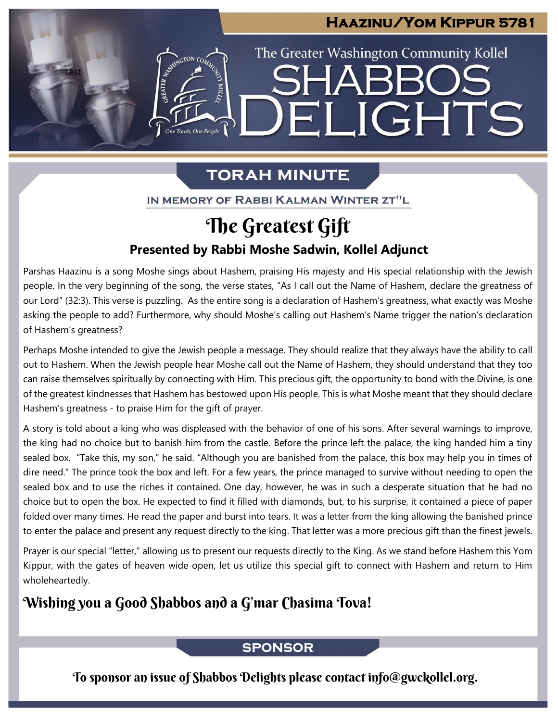## **Haazinu/Yom Kippur 5781**

The Greater Washington Community Kollel

ELIGHTS

## **TORAH MINUTE**

test

ESTER AVENUE CON CON

IN MEMORY OF RABBI KALMAN WINTER ZT"L

## **Presented by Rabbi Moshe Sadwin, Kollel Adjunct** The Greatest Gift

Parshas Haazinu is a song Moshe sings about Hashem, praising His majesty and His special relationship with the Jewish people. In the very beginning of the song, the verse states, "As I call out the Name of Hashem, declare the greatness of our Lord" (32:3). This verse is puzzling. As the entire song is a declaration of Hashem's greatness, what exactly was Moshe asking the people to add? Furthermore, why should Moshe's calling out Hashem's Name trigger the nation's declaration of Hashem's greatness?

Perhaps Moshe intended to give the Jewish people a message. They should realize that they always have the ability to call out to Hashem. When the Jewish people hear Moshe call out the Name of Hashem, they should understand that they too can raise themselves spiritually by connecting with Him. This precious gift, the opportunity to bond with the Divine, is one of the greatest kindnesses that Hashem has bestowed upon His people. This is what Moshe meant that they should declare Hashem's greatness - to praise Him for the gift of prayer.

A story is told about a king who was displeased with the behavior of one of his sons. After several warnings to improve, the king had no choice but to banish him from the castle. Before the prince left the palace, the king handed him a tiny sealed box. "Take this, my son," he said. "Although you are banished from the palace, this box may help you in times of dire need." The prince took the box and left. For a few years, the prince managed to survive without needing to open the sealed box and to use the riches it contained. One day, however, he was in such a desperate situation that he had no choice but to open the box. He expected to find it filled with diamonds, but, to his surprise, it contained a piece of paper folded over many times. He read the paper and burst into tears. It was a letter from the king allowing the banished prince to enter the palace and present any request directly to the king. That letter was a more precious gift than the finest jewels.

Prayer is our special "letter," allowing us to present our requests directly to the King. As we stand before Hashem this Yom Kippur, with the gates of heaven wide open, let us utilize this special gift to connect with Hashem and return to Him wholeheartedly.

## Wishing you a Good Shabbos and a G'mar Chasima Tova!

### **SPONSOR**

To sponsor an issue of Shabbos Delights please contact info@gwckollel.org.